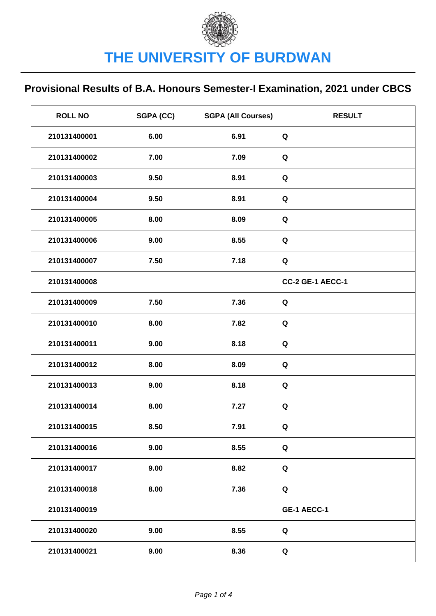| <b>ROLL NO</b> | SGPA (CC) | <b>SGPA (All Courses)</b> | <b>RESULT</b>    |
|----------------|-----------|---------------------------|------------------|
| 210131400001   | 6.00      | 6.91                      | Q                |
| 210131400002   | 7.00      | 7.09                      | Q                |
| 210131400003   | 9.50      | 8.91                      | Q                |
| 210131400004   | 9.50      | 8.91                      | Q                |
| 210131400005   | 8.00      | 8.09                      | Q                |
| 210131400006   | 9.00      | 8.55                      | Q                |
| 210131400007   | 7.50      | 7.18                      | Q                |
| 210131400008   |           |                           | CC-2 GE-1 AECC-1 |
| 210131400009   | 7.50      | 7.36                      | Q                |
| 210131400010   | 8.00      | 7.82                      | Q                |
| 210131400011   | 9.00      | 8.18                      | Q                |
| 210131400012   | 8.00      | 8.09                      | Q                |
| 210131400013   | 9.00      | 8.18                      | Q                |
| 210131400014   | 8.00      | 7.27                      | Q                |
| 210131400015   | 8.50      | 7.91                      | Q                |
| 210131400016   | 9.00      | 8.55                      | Q                |
| 210131400017   | 9.00      | 8.82                      | Q                |
| 210131400018   | 8.00      | 7.36                      | Q                |
| 210131400019   |           |                           | GE-1 AECC-1      |
| 210131400020   | 9.00      | 8.55                      | Q                |
| 210131400021   | 9.00      | 8.36                      | Q                |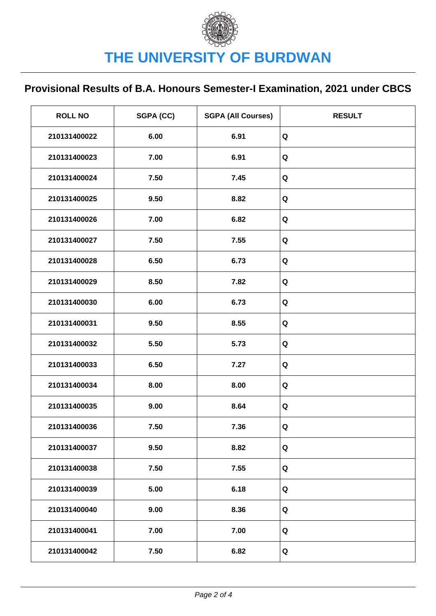| <b>ROLL NO</b> | SGPA (CC) | <b>SGPA (All Courses)</b> | <b>RESULT</b> |
|----------------|-----------|---------------------------|---------------|
| 210131400022   | 6.00      | 6.91                      | Q             |
| 210131400023   | 7.00      | 6.91                      | Q             |
| 210131400024   | 7.50      | 7.45                      | Q             |
| 210131400025   | 9.50      | 8.82                      | Q             |
| 210131400026   | 7.00      | 6.82                      | Q             |
| 210131400027   | 7.50      | 7.55                      | Q             |
| 210131400028   | 6.50      | 6.73                      | Q             |
| 210131400029   | 8.50      | 7.82                      | Q             |
| 210131400030   | 6.00      | 6.73                      | Q             |
| 210131400031   | 9.50      | 8.55                      | Q             |
| 210131400032   | 5.50      | 5.73                      | Q             |
| 210131400033   | 6.50      | 7.27                      | Q             |
| 210131400034   | 8.00      | 8.00                      | Q             |
| 210131400035   | 9.00      | 8.64                      | Q             |
| 210131400036   | 7.50      | 7.36                      | Q             |
| 210131400037   | 9.50      | 8.82                      | Q             |
| 210131400038   | 7.50      | 7.55                      | Q             |
| 210131400039   | 5.00      | 6.18                      | Q             |
| 210131400040   | 9.00      | 8.36                      | Q             |
| 210131400041   | 7.00      | 7.00                      | Q             |
| 210131400042   | 7.50      | 6.82                      | Q             |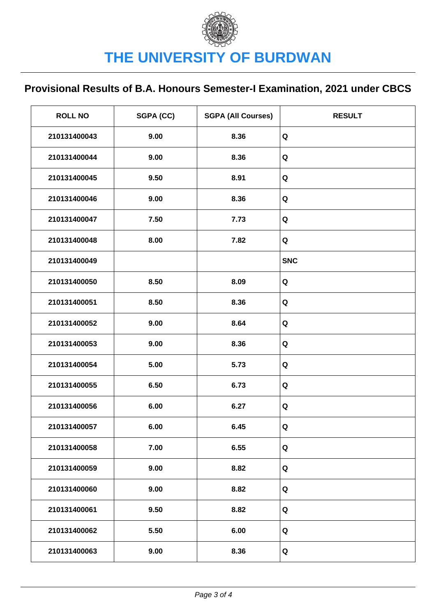| <b>ROLL NO</b> | SGPA (CC) | <b>SGPA (All Courses)</b> | <b>RESULT</b> |
|----------------|-----------|---------------------------|---------------|
| 210131400043   | 9.00      | 8.36                      | Q             |
| 210131400044   | 9.00      | 8.36                      | Q             |
| 210131400045   | 9.50      | 8.91                      | Q             |
| 210131400046   | 9.00      | 8.36                      | Q             |
| 210131400047   | 7.50      | 7.73                      | Q             |
| 210131400048   | 8.00      | 7.82                      | Q             |
| 210131400049   |           |                           | <b>SNC</b>    |
| 210131400050   | 8.50      | 8.09                      | Q             |
| 210131400051   | 8.50      | 8.36                      | Q             |
| 210131400052   | 9.00      | 8.64                      | Q             |
| 210131400053   | 9.00      | 8.36                      | Q             |
| 210131400054   | 5.00      | 5.73                      | Q             |
| 210131400055   | 6.50      | 6.73                      | Q             |
| 210131400056   | 6.00      | 6.27                      | Q             |
| 210131400057   | 6.00      | 6.45                      | Q             |
| 210131400058   | 7.00      | 6.55                      | Q             |
| 210131400059   | 9.00      | 8.82                      | Q             |
| 210131400060   | 9.00      | 8.82                      | Q             |
| 210131400061   | 9.50      | 8.82                      | Q             |
| 210131400062   | 5.50      | 6.00                      | Q             |
| 210131400063   | 9.00      | 8.36                      | Q             |